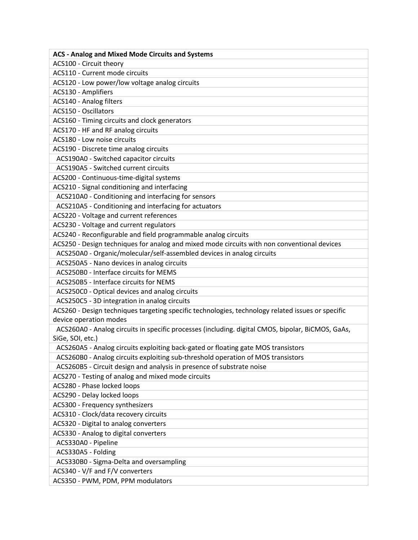| <b>ACS - Analog and Mixed Mode Circuits and Systems</b>                                           |
|---------------------------------------------------------------------------------------------------|
| ACS100 - Circuit theory                                                                           |
| ACS110 - Current mode circuits                                                                    |
| ACS120 - Low power/low voltage analog circuits                                                    |
| ACS130 - Amplifiers                                                                               |
| ACS140 - Analog filters                                                                           |
| <b>ACS150 - Oscillators</b>                                                                       |
| ACS160 - Timing circuits and clock generators                                                     |
| ACS170 - HF and RF analog circuits                                                                |
| ACS180 - Low noise circuits                                                                       |
| ACS190 - Discrete time analog circuits                                                            |
| ACS190A0 - Switched capacitor circuits                                                            |
| ACS190A5 - Switched current circuits                                                              |
| ACS200 - Continuous-time-digital systems                                                          |
| ACS210 - Signal conditioning and interfacing                                                      |
| ACS210A0 - Conditioning and interfacing for sensors                                               |
| ACS210A5 - Conditioning and interfacing for actuators                                             |
| ACS220 - Voltage and current references                                                           |
| ACS230 - Voltage and current regulators                                                           |
| ACS240 - Reconfigurable and field programmable analog circuits                                    |
| ACS250 - Design techniques for analog and mixed mode circuits with non conventional devices       |
| ACS250A0 - Organic/molecular/self-assembled devices in analog circuits                            |
| ACS250A5 - Nano devices in analog circuits                                                        |
| ACS250B0 - Interface circuits for MEMS                                                            |
| ACS250B5 - Interface circuits for NEMS                                                            |
| ACS250C0 - Optical devices and analog circuits                                                    |
| ACS250C5 - 3D integration in analog circuits                                                      |
| ACS260 - Design techniques targeting specific technologies, technology related issues or specific |
| device operation modes                                                                            |
| ACS260A0 - Analog circuits in specific processes (including. digital CMOS, bipolar, BiCMOS, GaAs, |
| SiGe, SOI, etc.)                                                                                  |
| ACS260A5 - Analog circuits exploiting back-gated or floating gate MOS transistors                 |
| ACS260B0 - Analog circuits exploiting sub-threshold operation of MOS transistors                  |
| ACS260B5 - Circuit design and analysis in presence of substrate noise                             |
| ACS270 - Testing of analog and mixed mode circuits                                                |
| ACS280 - Phase locked loops                                                                       |
| ACS290 - Delay locked loops                                                                       |
| ACS300 - Frequency synthesizers                                                                   |
| ACS310 - Clock/data recovery circuits                                                             |
| ACS320 - Digital to analog converters                                                             |
| ACS330 - Analog to digital converters                                                             |
| ACS330A0 - Pipeline                                                                               |
| ACS330A5 - Folding                                                                                |
| ACS330B0 - Sigma-Delta and oversampling                                                           |
| ACS340 - V/F and F/V converters                                                                   |
| ACS350 - PWM, PDM, PPM modulators                                                                 |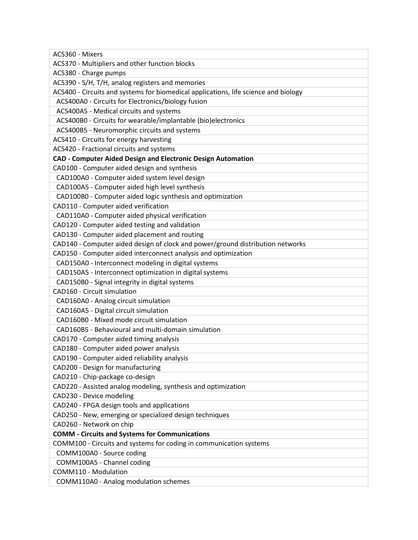| ACS360 - Mixers                                                                     |
|-------------------------------------------------------------------------------------|
| ACS370 - Multipliers and other function blocks                                      |
| ACS380 - Charge pumps                                                               |
| ACS390 - S/H, T/H, analog registers and memories                                    |
| ACS400 - Circuits and systems for biomedical applications, life science and biology |
| ACS400A0 - Circuits for Electronics/biology fusion                                  |
| ACS400A5 - Medical circuits and systems                                             |
| ACS400B0 - Circuits for wearable/implantable (bio)electronics                       |
| ACS400B5 - Neuromorphic circuits and systems                                        |
| ACS410 - Circuits for energy harvesting                                             |
| ACS420 - Fractional circuits and systems                                            |
| <b>CAD - Computer Aided Design and Electronic Design Automation</b>                 |
| CAD100 - Computer aided design and synthesis                                        |
| CAD100A0 - Computer aided system level design                                       |
| CAD100A5 - Computer aided high level synthesis                                      |
| CAD100B0 - Computer aided logic synthesis and optimization                          |
| CAD110 - Computer aided verification                                                |
| CAD110A0 - Computer aided physical verification                                     |
| CAD120 - Computer aided testing and validation                                      |
| CAD130 - Computer aided placement and routing                                       |
| CAD140 - Computer aided design of clock and power/ground distribution networks      |
| CAD150 - Computer aided interconnect analysis and optimization                      |
| CAD150A0 - Interconnect modeling in digital systems                                 |
| CAD150A5 - Interconnect optimization in digital systems                             |
| CAD150B0 - Signal integrity in digital systems                                      |
| CAD160 - Circuit simulation                                                         |
| CAD160A0 - Analog circuit simulation                                                |
| CAD160A5 - Digital circuit simulation                                               |
| CAD160B0 - Mixed mode circuit simulation                                            |
| CAD160B5 - Behavioural and multi-domain simulation                                  |
| CAD170 - Computer aided timing analysis                                             |
| CAD180 - Computer aided power analysis                                              |
| CAD190 - Computer aided reliability analysis                                        |
| CAD200 - Design for manufacturing                                                   |
| CAD210 - Chip-package co-design                                                     |
| CAD220 - Assisted analog modeling, synthesis and optimization                       |
| CAD230 - Device modeling                                                            |
| CAD240 - FPGA design tools and applications                                         |
| CAD250 - New, emerging or specialized design techniques                             |
| CAD260 - Network on chip                                                            |
| <b>COMM - Circuits and Systems for Communications</b>                               |
| COMM100 - Circuits and systems for coding in communication systems                  |
| COMM100A0 - Source coding                                                           |
| COMM100A5 - Channel coding                                                          |
| COMM110 - Modulation                                                                |
| COMM110A0 - Analog modulation schemes                                               |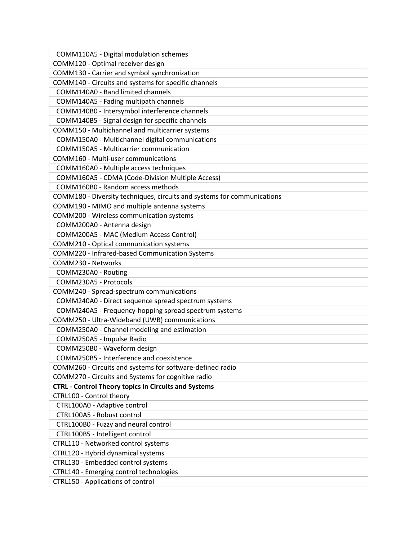| COMM110A5 - Digital modulation schemes                                  |
|-------------------------------------------------------------------------|
| COMM120 - Optimal receiver design                                       |
| COMM130 - Carrier and symbol synchronization                            |
| COMM140 - Circuits and systems for specific channels                    |
| COMM140A0 - Band limited channels                                       |
| COMM140A5 - Fading multipath channels                                   |
| COMM140B0 - Intersymbol interference channels                           |
| COMM140B5 - Signal design for specific channels                         |
| COMM150 - Multichannel and multicarrier systems                         |
| COMM150A0 - Multichannel digital communications                         |
| COMM150A5 - Multicarrier communication                                  |
| COMM160 - Multi-user communications                                     |
| COMM160A0 - Multiple access techniques                                  |
| COMM160A5 - CDMA (Code-Division Multiple Access)                        |
| COMM160B0 - Random access methods                                       |
| COMM180 - Diversity techniques, circuits and systems for communications |
| COMM190 - MIMO and multiple antenna systems                             |
| COMM200 - Wireless communication systems                                |
| COMM200A0 - Antenna design                                              |
| COMM200A5 - MAC (Medium Access Control)                                 |
| COMM210 - Optical communication systems                                 |
| COMM220 - Infrared-based Communication Systems                          |
| COMM230 - Networks                                                      |
| COMM230A0 - Routing                                                     |
| COMM230A5 - Protocols                                                   |
| COMM240 - Spread-spectrum communications                                |
| COMM240A0 - Direct sequence spread spectrum systems                     |
| COMM240A5 - Frequency-hopping spread spectrum systems                   |
| COMM250 - Ultra-Wideband (UWB) communications                           |
| COMM250A0 - Channel modeling and estimation                             |
| COMM250A5 - Impulse Radio                                               |
| COMM250B0 - Waveform design                                             |
| COMM250B5 - Interference and coexistence                                |
| COMM260 - Circuits and systems for software-defined radio               |
| COMM270 - Circuits and Systems for cognitive radio                      |
| <b>CTRL - Control Theory topics in Circuits and Systems</b>             |
| CTRL100 - Control theory                                                |
| CTRL100A0 - Adaptive control                                            |
| CTRL100A5 - Robust control                                              |
| CTRL100B0 - Fuzzy and neural control                                    |
| CTRL100B5 - Intelligent control                                         |
| CTRL110 - Networked control systems                                     |
| CTRL120 - Hybrid dynamical systems                                      |
| CTRL130 - Embedded control systems                                      |
| CTRL140 - Emerging control technologies                                 |
| <b>CTRL150 - Applications of control</b>                                |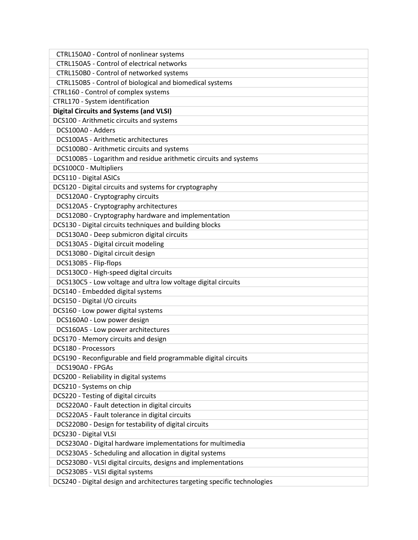| CTRL150A0 - Control of nonlinear systems                                  |
|---------------------------------------------------------------------------|
| CTRL150A5 - Control of electrical networks                                |
| CTRL150B0 - Control of networked systems                                  |
| CTRL150B5 - Control of biological and biomedical systems                  |
| CTRL160 - Control of complex systems                                      |
| CTRL170 - System identification                                           |
| <b>Digital Circuits and Systems (and VLSI)</b>                            |
| DCS100 - Arithmetic circuits and systems                                  |
| DCS100A0 - Adders                                                         |
| DCS100A5 - Arithmetic architectures                                       |
| DCS100B0 - Arithmetic circuits and systems                                |
| DCS100B5 - Logarithm and residue arithmetic circuits and systems          |
| DCS100C0 - Multipliers                                                    |
| DCS110 - Digital ASICs                                                    |
| DCS120 - Digital circuits and systems for cryptography                    |
| DCS120A0 - Cryptography circuits                                          |
| DCS120A5 - Cryptography architectures                                     |
| DCS120B0 - Cryptography hardware and implementation                       |
| DCS130 - Digital circuits techniques and building blocks                  |
| DCS130A0 - Deep submicron digital circuits                                |
| DCS130A5 - Digital circuit modeling                                       |
| DCS130B0 - Digital circuit design                                         |
| DCS130B5 - Flip-flops                                                     |
| DCS130C0 - High-speed digital circuits                                    |
| DCS130C5 - Low voltage and ultra low voltage digital circuits             |
| DCS140 - Embedded digital systems                                         |
| DCS150 - Digital I/O circuits                                             |
| DCS160 - Low power digital systems                                        |
| DCS160A0 - Low power design                                               |
| DCS160A5 - Low power architectures                                        |
| DCS170 - Memory circuits and design                                       |
| DCS180 - Processors                                                       |
| DCS190 - Reconfigurable and field programmable digital circuits           |
| DCS190A0 - FPGAs                                                          |
| DCS200 - Reliability in digital systems                                   |
| DCS210 - Systems on chip                                                  |
| DCS220 - Testing of digital circuits                                      |
| DCS220A0 - Fault detection in digital circuits                            |
| DCS220A5 - Fault tolerance in digital circuits                            |
| DCS220B0 - Design for testability of digital circuits                     |
| DCS230 - Digital VLSI                                                     |
| DCS230A0 - Digital hardware implementations for multimedia                |
| DCS230A5 - Scheduling and allocation in digital systems                   |
| DCS230B0 - VLSI digital circuits, designs and implementations             |
| DCS230B5 - VLSI digital systems                                           |
| DCS240 - Digital design and architectures targeting specific technologies |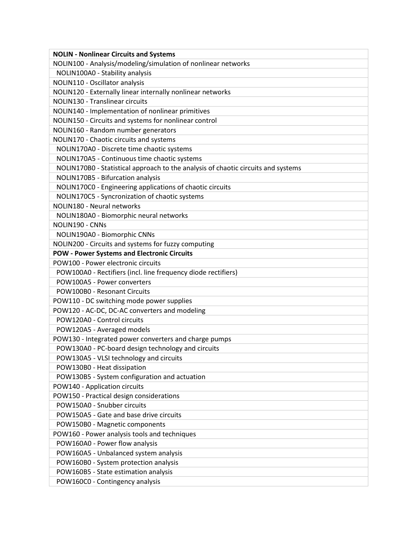| <b>NOLIN - Nonlinear Circuits and Systems</b>                                     |
|-----------------------------------------------------------------------------------|
| NOLIN100 - Analysis/modeling/simulation of nonlinear networks                     |
| NOLIN100A0 - Stability analysis                                                   |
| NOLIN110 - Oscillator analysis                                                    |
| NOLIN120 - Externally linear internally nonlinear networks                        |
| NOLIN130 - Translinear circuits                                                   |
| NOLIN140 - Implementation of nonlinear primitives                                 |
| NOLIN150 - Circuits and systems for nonlinear control                             |
| NOLIN160 - Random number generators                                               |
| NOLIN170 - Chaotic circuits and systems                                           |
| NOLIN170A0 - Discrete time chaotic systems                                        |
| NOLIN170A5 - Continuous time chaotic systems                                      |
| NOLIN170B0 - Statistical approach to the analysis of chaotic circuits and systems |
| NOLIN170B5 - Bifurcation analysis                                                 |
| NOLIN170C0 - Engineering applications of chaotic circuits                         |
| NOLIN170C5 - Syncronization of chaotic systems                                    |
| NOLIN180 - Neural networks                                                        |
| NOLIN180A0 - Biomorphic neural networks                                           |
| NOLIN190 - CNNs                                                                   |
| NOLIN190A0 - Biomorphic CNNs                                                      |
| NOLIN200 - Circuits and systems for fuzzy computing                               |
| <b>POW - Power Systems and Electronic Circuits</b>                                |
| POW100 - Power electronic circuits                                                |
| POW100A0 - Rectifiers (incl. line frequency diode rectifiers)                     |
| POW100A5 - Power converters                                                       |
| POW100B0 - Resonant Circuits                                                      |
| POW110 - DC switching mode power supplies                                         |
| POW120 - AC-DC, DC-AC converters and modeling                                     |
| POW120A0 - Control circuits                                                       |
| POW120A5 - Averaged models                                                        |
| POW130 - Integrated power converters and charge pumps                             |
| POW130A0 - PC-board design technology and circuits                                |
|                                                                                   |
| POW130A5 - VLSI technology and circuits                                           |
| POW130B0 - Heat dissipation                                                       |
| POW130B5 - System configuration and actuation                                     |
| POW140 - Application circuits                                                     |
| POW150 - Practical design considerations                                          |
| POW150A0 - Snubber circuits                                                       |
| POW150A5 - Gate and base drive circuits                                           |
| POW150B0 - Magnetic components                                                    |
| POW160 - Power analysis tools and techniques                                      |
| POW160A0 - Power flow analysis                                                    |
| POW160A5 - Unbalanced system analysis                                             |
| POW160B0 - System protection analysis                                             |
| POW160B5 - State estimation analysis                                              |